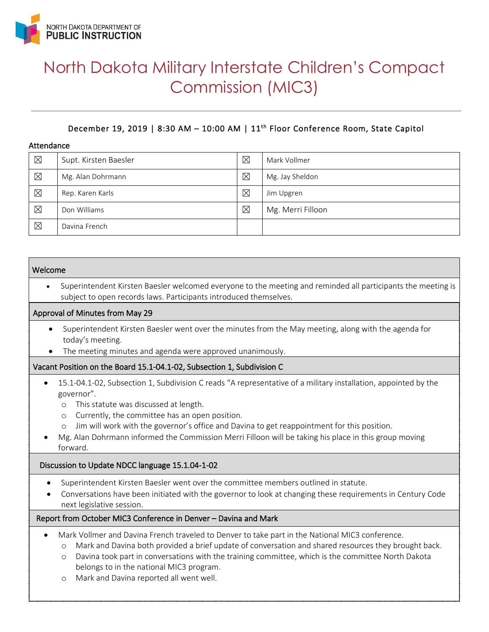

# North Dakota Military Interstate Children's Compact Commission (MIC3)

# December 19, 2019 | 8:30 AM - 10:00 AM | 11<sup>th</sup> Floor Conference Room, State Capitol

#### Attendance

| $\boxtimes$ | Supt. Kirsten Baesler | $\boxtimes$ | Mark Vollmer      |
|-------------|-----------------------|-------------|-------------------|
| $\boxtimes$ | Mg. Alan Dohrmann     | $\boxtimes$ | Mg. Jay Sheldon   |
| $\boxtimes$ | Rep. Karen Karls      | $\boxtimes$ | Jim Upgren        |
| $\boxtimes$ | Don Williams          | $\boxtimes$ | Mg. Merri Filloon |
| $\boxtimes$ | Davina French         |             |                   |

#### Welcome

• Superintendent Kirsten Baesler welcomed everyone to the meeting and reminded all participants the meeting is subject to open records laws. Participants introduced themselves.

#### Approval of Minutes from May 29

- Superintendent Kirsten Baesler went over the minutes from the May meeting, along with the agenda for today's meeting.
- The meeting minutes and agenda were approved unanimously.

# Vacant Position on the Board 15.1-04.1-02, Subsection 1, Subdivision C

- 15.1-04.1-02, Subsection 1, Subdivision C reads "A representative of a military installation, appointed by the governor".
	- o This statute was discussed at length.
	- o Currently, the committee has an open position.
	- o Jim will work with the governor's office and Davina to get reappointment for this position.
- Mg. Alan Dohrmann informed the Commission Merri Filloon will be taking his place in this group moving forward.

# Discussion to Update NDCC language 15.1.04-1-02

- Superintendent Kirsten Baesler went over the committee members outlined in statute.
- Conversations have been initiated with the governor to look at changing these requirements in Century Code next legislative session.

#### Report from October MIC3 Conference in Denver – Davina and Mark

- Mark Vollmer and Davina French traveled to Denver to take part in the National MIC3 conference.
	- o Mark and Davina both provided a brief update of conversation and shared resources they brought back.
	- o Davina took part in conversations with the training committee, which is the committee North Dakota belongs to in the national MIC3 program.
	- o Mark and Davina reported all went well.